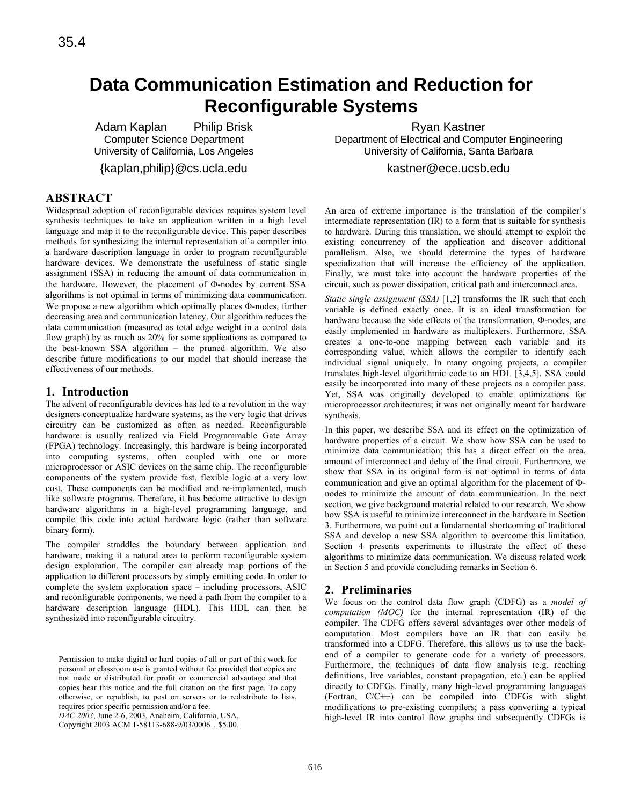# **Data Communication Estimation and Reduction for Reconfigurable Systems**

Adam Kaplan Philip Brisk Computer Science Department University of California, Los Angeles

{kaplan,philip}@cs.ucla.edu

# **ABSTRACT**

Widespread adoption of reconfigurable devices requires system level synthesis techniques to take an application written in a high level language and map it to the reconfigurable device. This paper describes methods for synthesizing the internal representation of a compiler into a hardware description language in order to program reconfigurable hardware devices. We demonstrate the usefulness of static single assignment (SSA) in reducing the amount of data communication in the hardware. However, the placement of Φ-nodes by current SSA algorithms is not optimal in terms of minimizing data communication. We propose a new algorithm which optimally places Φ-nodes, further decreasing area and communication latency. Our algorithm reduces the data communication (measured as total edge weight in a control data flow graph) by as much as 20% for some applications as compared to the best-known SSA algorithm – the pruned algorithm. We also describe future modifications to our model that should increase the effectiveness of our methods.

#### **1. Introduction**

The advent of reconfigurable devices has led to a revolution in the way designers conceptualize hardware systems, as the very logic that drives circuitry can be customized as often as needed. Reconfigurable hardware is usually realized via Field Programmable Gate Array (FPGA) technology. Increasingly, this hardware is being incorporated into computing systems, often coupled with one or more microprocessor or ASIC devices on the same chip. The reconfigurable components of the system provide fast, flexible logic at a very low cost. These components can be modified and re-implemented, much like software programs. Therefore, it has become attractive to design hardware algorithms in a high-level programming language, and compile this code into actual hardware logic (rather than software binary form).

The compiler straddles the boundary between application and hardware, making it a natural area to perform reconfigurable system design exploration. The compiler can already map portions of the application to different processors by simply emitting code. In order to complete the system exploration space – including processors, ASIC and reconfigurable components, we need a path from the compiler to a hardware description language (HDL). This HDL can then be synthesized into reconfigurable circuitry.

*DAC 2003*, June 2-6, 2003, Anaheim, California, USA.

Copyright 2003 ACM 1-58113-688-9/03/0006…\$5.00.

Ryan Kastner Department of Electrical and Computer Engineering University of California, Santa Barbara

#### kastner@ece.ucsb.edu

An area of extreme importance is the translation of the compiler's intermediate representation (IR) to a form that is suitable for synthesis to hardware. During this translation, we should attempt to exploit the existing concurrency of the application and discover additional parallelism. Also, we should determine the types of hardware specialization that will increase the efficiency of the application. Finally, we must take into account the hardware properties of the circuit, such as power dissipation, critical path and interconnect area.

*Static single assignment (SSA)* [1,2] transforms the IR such that each variable is defined exactly once. It is an ideal transformation for hardware because the side effects of the transformation, Φ-nodes, are easily implemented in hardware as multiplexers. Furthermore, SSA creates a one-to-one mapping between each variable and its corresponding value, which allows the compiler to identify each individual signal uniquely. In many ongoing projects, a compiler translates high-level algorithmic code to an HDL [3,4,5]. SSA could easily be incorporated into many of these projects as a compiler pass. Yet, SSA was originally developed to enable optimizations for microprocessor architectures; it was not originally meant for hardware synthesis.

In this paper, we describe SSA and its effect on the optimization of hardware properties of a circuit. We show how SSA can be used to minimize data communication; this has a direct effect on the area, amount of interconnect and delay of the final circuit. Furthermore, we show that SSA in its original form is not optimal in terms of data communication and give an optimal algorithm for the placement of Φnodes to minimize the amount of data communication. In the next section, we give background material related to our research. We show how SSA is useful to minimize interconnect in the hardware in Section 3. Furthermore, we point out a fundamental shortcoming of traditional SSA and develop a new SSA algorithm to overcome this limitation. Section 4 presents experiments to illustrate the effect of these algorithms to minimize data communication. We discuss related work in Section 5 and provide concluding remarks in Section 6.

#### **2. Preliminaries**

We focus on the control data flow graph (CDFG) as a *model of computation (MOC)* for the internal representation (IR) of the compiler. The CDFG offers several advantages over other models of computation. Most compilers have an IR that can easily be transformed into a CDFG. Therefore, this allows us to use the backend of a compiler to generate code for a variety of processors. Furthermore, the techniques of data flow analysis (e.g. reaching definitions, live variables, constant propagation, etc.) can be applied directly to CDFGs. Finally, many high-level programming languages (Fortran, C/C++) can be compiled into CDFGs with slight modifications to pre-existing compilers; a pass converting a typical high-level IR into control flow graphs and subsequently CDFGs is

Permission to make digital or hard copies of all or part of this work for personal or classroom use is granted without fee provided that copies are not made or distributed for profit or commercial advantage and that copies bear this notice and the full citation on the first page. To copy otherwise, or republish, to post on servers or to redistribute to lists, requires prior specific permission and/or a fee.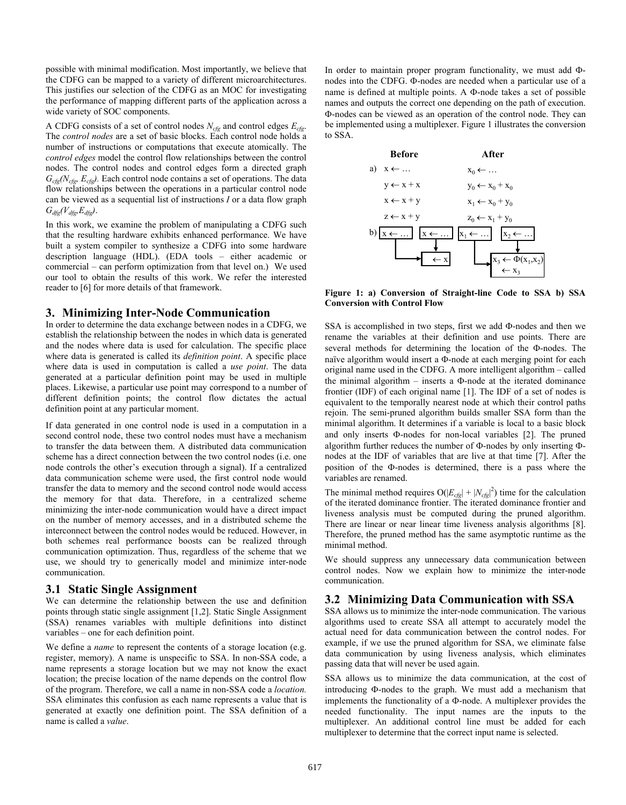possible with minimal modification. Most importantly, we believe that the CDFG can be mapped to a variety of different microarchitectures. This justifies our selection of the CDFG as an MOC for investigating the performance of mapping different parts of the application across a wide variety of SOC components.

A CDFG consists of a set of control nodes  $N_{cfg}$  and control edges  $E_{cfg}$ . The *control nodes* are a set of basic blocks. Each control node holds a number of instructions or computations that execute atomically. The *control edges* model the control flow relationships between the control nodes. The control nodes and control edges form a directed graph  $G_{cfg}(N_{cfg}, E_{cfg})$ . Each control node contains a set of operations. The data flow relationships between the operations in a particular control node can be viewed as a sequential list of instructions *I* or a data flow graph *Gdfg(Vdfg,Edfg)*.

In this work, we examine the problem of manipulating a CDFG such that the resulting hardware exhibits enhanced performance. We have built a system compiler to synthesize a CDFG into some hardware description language (HDL). (EDA tools – either academic or commercial – can perform optimization from that level on.) We used our tool to obtain the results of this work. We refer the interested reader to [6] for more details of that framework.

#### **3. Minimizing Inter-Node Communication**

In order to determine the data exchange between nodes in a CDFG, we establish the relationship between the nodes in which data is generated and the nodes where data is used for calculation. The specific place where data is generated is called its *definition point*. A specific place where data is used in computation is called a *use point*. The data generated at a particular definition point may be used in multiple places. Likewise, a particular use point may correspond to a number of different definition points; the control flow dictates the actual definition point at any particular moment.

If data generated in one control node is used in a computation in a second control node, these two control nodes must have a mechanism to transfer the data between them. A distributed data communication scheme has a direct connection between the two control nodes (i.e. one node controls the other's execution through a signal). If a centralized data communication scheme were used, the first control node would transfer the data to memory and the second control node would access the memory for that data. Therefore, in a centralized scheme minimizing the inter-node communication would have a direct impact on the number of memory accesses, and in a distributed scheme the interconnect between the control nodes would be reduced. However, in both schemes real performance boosts can be realized through communication optimization. Thus, regardless of the scheme that we use, we should try to generically model and minimize inter-node communication.

## **3.1 Static Single Assignment**

We can determine the relationship between the use and definition points through static single assignment [1,2]. Static Single Assignment (SSA) renames variables with multiple definitions into distinct variables – one for each definition point.

We define a *name* to represent the contents of a storage location (e.g. register, memory). A name is unspecific to SSA. In non-SSA code, a name represents a storage location but we may not know the exact location; the precise location of the name depends on the control flow of the program. Therefore, we call a name in non-SSA code a *location.*  SSA eliminates this confusion as each name represents a value that is generated at exactly one definition point. The SSA definition of a name is called a *value*.

In order to maintain proper program functionality, we must add Φnodes into the CDFG. Φ-nodes are needed when a particular use of a name is defined at multiple points. A Φ-node takes a set of possible names and outputs the correct one depending on the path of execution. Φ-nodes can be viewed as an operation of the control node. They can be implemented using a multiplexer. Figure 1 illustrates the conversion to SSA.



**Figure 1: a) Conversion of Straight-line Code to SSA b) SSA Conversion with Control Flow** 

SSA is accomplished in two steps, first we add Φ-nodes and then we rename the variables at their definition and use points. There are several methods for determining the location of the Φ-nodes. The naïve algorithm would insert a Φ-node at each merging point for each original name used in the CDFG. A more intelligent algorithm – called the minimal algorithm  $-$  inserts a  $\Phi$ -node at the iterated dominance frontier (IDF) of each original name [1]. The IDF of a set of nodes is equivalent to the temporally nearest node at which their control paths rejoin. The semi-pruned algorithm builds smaller SSA form than the minimal algorithm. It determines if a variable is local to a basic block and only inserts Φ-nodes for non-local variables [2]. The pruned algorithm further reduces the number of Φ-nodes by only inserting Φnodes at the IDF of variables that are live at that time [7]. After the position of the Φ-nodes is determined, there is a pass where the variables are renamed.

The minimal method requires  $O(|E_{cfg}| + |N_{cfg}|^2)$  time for the calculation of the iterated dominance frontier. The iterated dominance frontier and liveness analysis must be computed during the pruned algorithm. There are linear or near linear time liveness analysis algorithms [8]. Therefore, the pruned method has the same asymptotic runtime as the minimal method.

We should suppress any unnecessary data communication between control nodes. Now we explain how to minimize the inter-node communication.

## **3.2 Minimizing Data Communication with SSA**

SSA allows us to minimize the inter-node communication. The various algorithms used to create SSA all attempt to accurately model the actual need for data communication between the control nodes. For example, if we use the pruned algorithm for SSA, we eliminate false data communication by using liveness analysis, which eliminates passing data that will never be used again.

SSA allows us to minimize the data communication, at the cost of introducing Φ-nodes to the graph. We must add a mechanism that implements the functionality of a Φ-node. A multiplexer provides the needed functionality. The input names are the inputs to the multiplexer. An additional control line must be added for each multiplexer to determine that the correct input name is selected.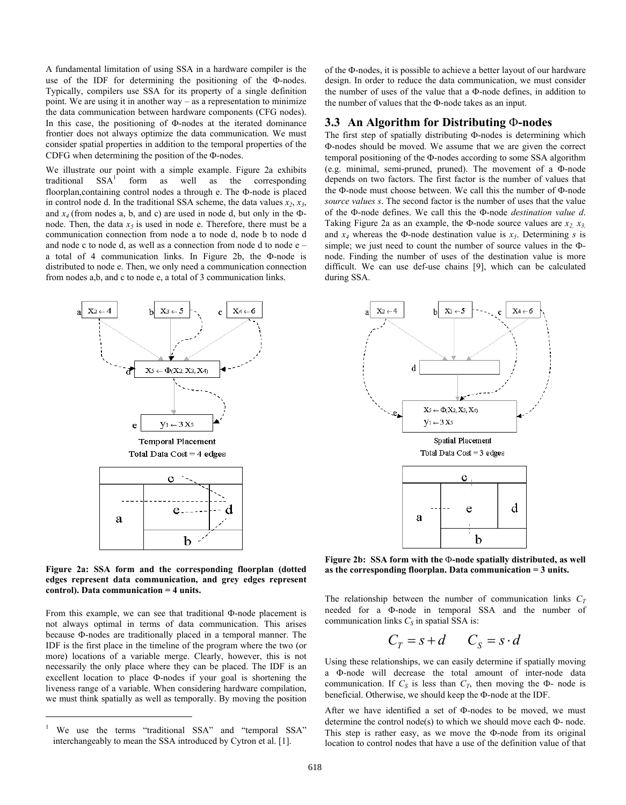A fundamental limitation of using SSA in a hardware compiler is the use of the IDF for determining the positioning of the Φ-nodes. Typically, compilers use SSA for its property of a single definition point. We are using it in another way – as a representation to minimize the data communication between hardware components (CFG nodes). In this case, the positioning of Φ-nodes at the iterated dominance frontier does not always optimize the data communication. We must consider spatial properties in addition to the temporal properties of the CDFG when determining the position of the Φ-nodes.

We illustrate our point with a simple example. Figure 2a exhibits traditional  $SSA<sup>1</sup>$  form as well as the corresponding floorplan,containing control nodes a through e. The Φ-node is placed in control node d. In the traditional SSA scheme, the data values  $x_2$ ,  $x_3$ , and  $x_4$  (from nodes a, b, and c) are used in node d, but only in the  $\Phi$ node. Then, the data  $x_5$  is used in node e. Therefore, there must be a communication connection from node a to node d, node b to node d and node c to node d, as well as a connection from node d to node e – a total of 4 communication links. In Figure 2b, the Φ-node is distributed to node e. Then, we only need a communication connection from nodes a,b, and c to node e, a total of 3 communication links.



| a | d<br>$e_{-}$ |
|---|--------------|
|   | $\Omega$     |

**Figure 2a: SSA form and the corresponding floorplan (dotted edges represent data communication, and grey edges represent control). Data communication = 4 units.** 

From this example, we can see that traditional Φ-node placement is not always optimal in terms of data communication. This arises because Φ-nodes are traditionally placed in a temporal manner. The IDF is the first place in the timeline of the program where the two (or more) locations of a variable merge. Clearly, however, this is not necessarily the only place where they can be placed. The IDF is an excellent location to place Φ-nodes if your goal is shortening the liveness range of a variable. When considering hardware compilation, we must think spatially as well as temporally. By moving the position

 $\overline{a}$ 

of the Φ-nodes, it is possible to achieve a better layout of our hardware design. In order to reduce the data communication, we must consider the number of uses of the value that a Φ-node defines, in addition to the number of values that the Φ-node takes as an input.

## **3.3 An Algorithm for Distributing** Φ**-nodes**

The first step of spatially distributing Φ-nodes is determining which Φ-nodes should be moved. We assume that we are given the correct temporal positioning of the Φ-nodes according to some SSA algorithm (e.g. minimal, semi-pruned, pruned). The movement of a Φ-node depends on two factors. The first factor is the number of values that the Φ-node must choose between. We call this the number of Φ-node *source values s*. The second factor is the number of uses that the value of the Φ-node defines. We call this the Φ-node *destination value d*. Taking Figure 2a as an example, the  $\Phi$ -node source values are  $x_2, x_3$ , and  $x_4$  whereas the Φ-node destination value is  $x_5$ . Determining *s* is simple; we just need to count the number of source values in the Φnode. Finding the number of uses of the destination value is more difficult. We can use def-use chains [9], which can be calculated during SSA.



**Figure 2b: SSA form with the** Φ**-node spatially distributed, as well as the corresponding floorplan. Data communication = 3 units.** 

The relationship between the number of communication links  $C_T$ needed for a Φ-node in temporal SSA and the number of communication links  $C_S$  in spatial SSA is:

$$
C_T = s + d \qquad C_S = s \cdot d
$$

Using these relationships, we can easily determine if spatially moving a Φ-node will decrease the total amount of inter-node data communication. If  $C_S$  is less than  $C_T$ , then moving the Φ- node is beneficial. Otherwise, we should keep the Φ-node at the IDF.

After we have identified a set of Φ-nodes to be moved, we must determine the control node(s) to which we should move each Φ- node. This step is rather easy, as we move the Φ-node from its original location to control nodes that have a use of the definition value of that

<sup>1</sup> We use the terms "traditional SSA" and "temporal SSA" interchangeably to mean the SSA introduced by Cytron et al. [1].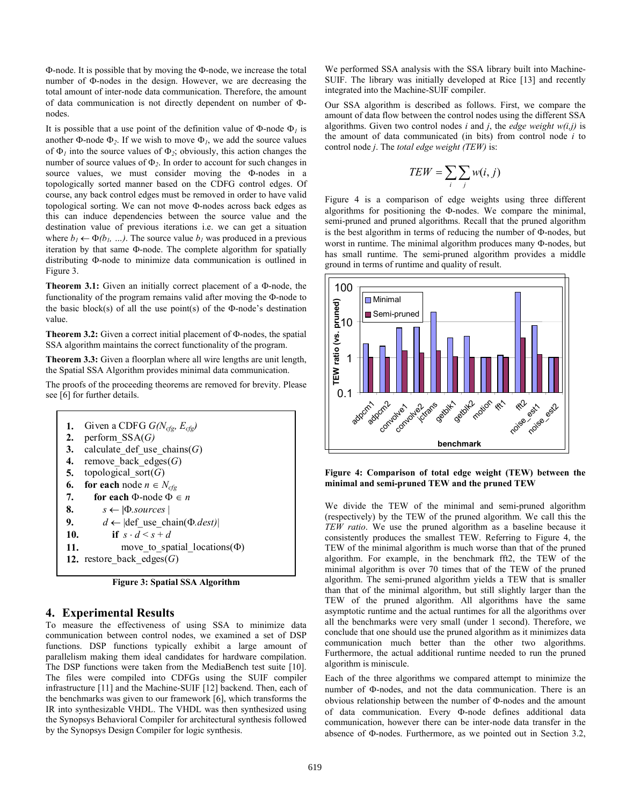Φ-node. It is possible that by moving the Φ-node, we increase the total number of Φ-nodes in the design. However, we are decreasing the total amount of inter-node data communication. Therefore, the amount of data communication is not directly dependent on number of Φnodes.

It is possible that a use point of the definition value of  $\Phi$ -node  $\Phi_l$  is another  $\Phi$ -node  $\Phi_2$ . If we wish to move  $\Phi_1$ , we add the source values of Φ*1* into the source values of Φ*2*; obviously, this action changes the number of source values of Φ*2*. In order to account for such changes in source values, we must consider moving the Φ-nodes in a topologically sorted manner based on the CDFG control edges. Of course, any back control edges must be removed in order to have valid topological sorting. We can not move Φ-nodes across back edges as this can induce dependencies between the source value and the destination value of previous iterations i.e. we can get a situation where  $b_1 \leftarrow \Phi(b_1, \ldots)$ . The source value  $b_1$  was produced in a previous iteration by that same Φ-node. The complete algorithm for spatially distributing Φ-node to minimize data communication is outlined in Figure 3.

**Theorem 3.1:** Given an initially correct placement of a Φ-node, the functionality of the program remains valid after moving the Φ-node to the basic block(s) of all the use point(s) of the  $\Phi$ -node's destination value.

**Theorem 3.2:** Given a correct initial placement of Φ-nodes, the spatial SSA algorithm maintains the correct functionality of the program.

**Theorem 3.3:** Given a floorplan where all wire lengths are unit length, the Spatial SSA Algorithm provides minimal data communication.

The proofs of the proceeding theorems are removed for brevity. Please see [6] for further details.

- **1.** Given a CDFG  $G(N_{cfg}, E_{cfg})$ **2.** perform\_SSA(*G)* **3.** calculate def use chains( $G$ ) **4.** remove back edges( $G$ ) **5.** topological sort( $G$ ) **6.** for each node  $n \in N_{cfg}$ **7.** for each  $\Phi$ -node  $\Phi \in n$ 
	- 8.  $s \leftarrow |\Phi \text{.} sources|$
	- **9.**  $d \leftarrow |\text{def use chain}(\Phi \text{.} \text{dest})|$
	- **10. if**  $s \cdot d \leq s + d$
	- **11.** move to spatial locations(Φ)
	- **12.** restore back edges( $G$ )

**Figure 3: Spatial SSA Algorithm** 

# **4. Experimental Results**

To measure the effectiveness of using SSA to minimize data communication between control nodes, we examined a set of DSP functions. DSP functions typically exhibit a large amount of parallelism making them ideal candidates for hardware compilation. The DSP functions were taken from the MediaBench test suite [10]. The files were compiled into CDFGs using the SUIF compiler infrastructure [11] and the Machine-SUIF [12] backend. Then, each of the benchmarks was given to our framework [6], which transforms the IR into synthesizable VHDL. The VHDL was then synthesized using the Synopsys Behavioral Compiler for architectural synthesis followed by the Synopsys Design Compiler for logic synthesis.

We performed SSA analysis with the SSA library built into Machine-SUIF. The library was initially developed at Rice [13] and recently integrated into the Machine-SUIF compiler.

Our SSA algorithm is described as follows. First, we compare the amount of data flow between the control nodes using the different SSA algorithms. Given two control nodes *i* and *j*, the *edge weight w(i,j)* is the amount of data communicated (in bits) from control node *i* to control node *j*. The *total edge weight (TEW)* is:

$$
TEW = \sum_{i} \sum_{j} w(i, j)
$$

Figure 4 is a comparison of edge weights using three different algorithms for positioning the Φ-nodes. We compare the minimal, semi-pruned and pruned algorithms. Recall that the pruned algorithm is the best algorithm in terms of reducing the number of Φ-nodes, but worst in runtime. The minimal algorithm produces many Φ-nodes, but has small runtime. The semi-pruned algorithm provides a middle ground in terms of runtime and quality of result.



**Figure 4: Comparison of total edge weight (TEW) between the minimal and semi-pruned TEW and the pruned TEW** 

We divide the TEW of the minimal and semi-pruned algorithm (respectively) by the TEW of the pruned algorithm. We call this the *TEW ratio*. We use the pruned algorithm as a baseline because it consistently produces the smallest TEW. Referring to Figure 4, the TEW of the minimal algorithm is much worse than that of the pruned algorithm. For example, in the benchmark fft2, the TEW of the minimal algorithm is over 70 times that of the TEW of the pruned algorithm. The semi-pruned algorithm yields a TEW that is smaller than that of the minimal algorithm, but still slightly larger than the TEW of the pruned algorithm. All algorithms have the same asymptotic runtime and the actual runtimes for all the algorithms over all the benchmarks were very small (under 1 second). Therefore, we conclude that one should use the pruned algorithm as it minimizes data communication much better than the other two algorithms. Furthermore, the actual additional runtime needed to run the pruned algorithm is miniscule.

Each of the three algorithms we compared attempt to minimize the number of Φ-nodes, and not the data communication. There is an obvious relationship between the number of Φ-nodes and the amount of data communication. Every Φ-node defines additional data communication, however there can be inter-node data transfer in the absence of Φ-nodes. Furthermore, as we pointed out in Section 3.2,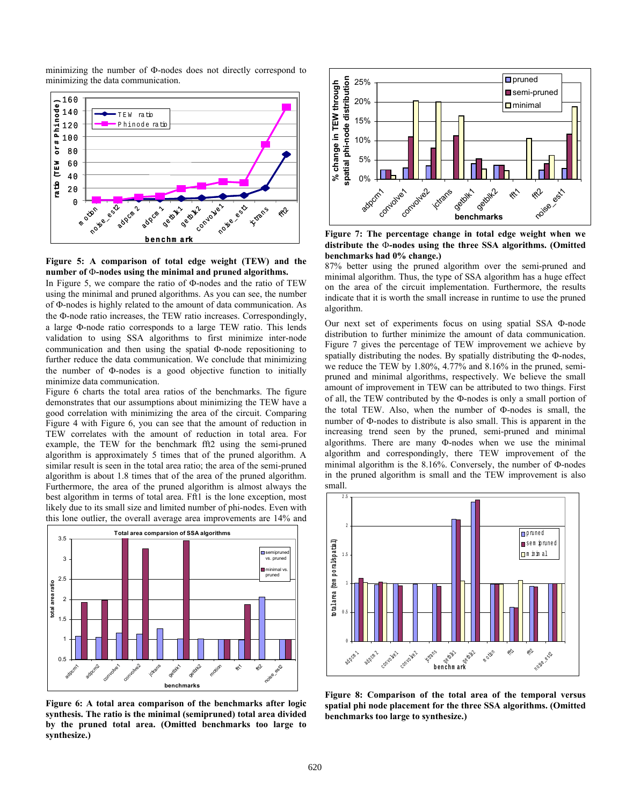minimizing the number of Φ-nodes does not directly correspond to minimizing the data communication.



**Figure 5: A comparison of total edge weight (TEW) and the number of** Φ**-nodes using the minimal and pruned algorithms.** 

In Figure 5, we compare the ratio of Φ-nodes and the ratio of TEW using the minimal and pruned algorithms. As you can see, the number of Φ-nodes is highly related to the amount of data communication. As the Φ-node ratio increases, the TEW ratio increases. Correspondingly, a large Φ-node ratio corresponds to a large TEW ratio. This lends validation to using SSA algorithms to first minimize inter-node communication and then using the spatial Φ-node repositioning to further reduce the data communication. We conclude that minimizing the number of Φ-nodes is a good objective function to initially minimize data communication.

Figure 6 charts the total area ratios of the benchmarks. The figure demonstrates that our assumptions about minimizing the TEW have a good correlation with minimizing the area of the circuit. Comparing Figure 4 with Figure 6, you can see that the amount of reduction in TEW correlates with the amount of reduction in total area. For example, the TEW for the benchmark fft2 using the semi-pruned algorithm is approximately 5 times that of the pruned algorithm. A similar result is seen in the total area ratio; the area of the semi-pruned algorithm is about 1.8 times that of the area of the pruned algorithm. Furthermore, the area of the pruned algorithm is almost always the best algorithm in terms of total area. Fft1 is the lone exception, most likely due to its small size and limited number of phi-nodes. Even with this lone outlier, the overall average area improvements are 14% and



**Figure 6: A total area comparison of the benchmarks after logic synthesis. The ratio is the minimal (semipruned) total area divided by the pruned total area. (Omitted benchmarks too large to synthesize.)** 



**Figure 7: The percentage change in total edge weight when we distribute the** Φ**-nodes using the three SSA algorithms. (Omitted benchmarks had 0% change.)** 

87% better using the pruned algorithm over the semi-pruned and minimal algorithm. Thus, the type of SSA algorithm has a huge effect on the area of the circuit implementation. Furthermore, the results indicate that it is worth the small increase in runtime to use the pruned algorithm.

Our next set of experiments focus on using spatial SSA Φ-node distribution to further minimize the amount of data communication. Figure 7 gives the percentage of TEW improvement we achieve by spatially distributing the nodes. By spatially distributing the Φ-nodes, we reduce the TEW by 1.80%, 4.77% and 8.16% in the pruned, semipruned and minimal algorithms, respectively. We believe the small amount of improvement in TEW can be attributed to two things. First of all, the TEW contributed by the Φ-nodes is only a small portion of the total TEW. Also, when the number of Φ-nodes is small, the number of Φ-nodes to distribute is also small. This is apparent in the increasing trend seen by the pruned, semi-pruned and minimal algorithms. There are many Φ-nodes when we use the minimal algorithm and correspondingly, there TEW improvement of the minimal algorithm is the 8.16%. Conversely, the number of Φ-nodes in the pruned algorithm is small and the TEW improvement is also small.



**Figure 8: Comparison of the total area of the temporal versus spatial phi node placement for the three SSA algorithms. (Omitted benchmarks too large to synthesize.)**